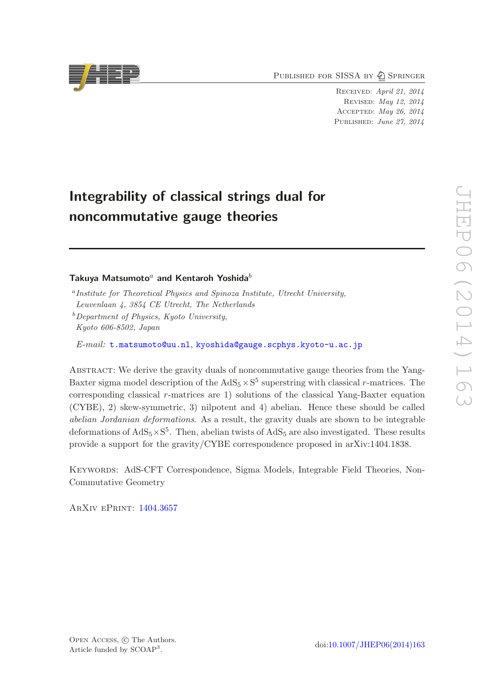PUBLISHED FOR SISSA BY 2 SPRINGER

Received: April 21, 2014 Revised: May 12, 2014 Accepted: May 26, 2014 PUBLISHED: June 27, 2014

# Integrability of classical strings dual for noncommutative gauge theories

# Takuya Matsumoto<sup>a</sup> and Kentaroh Yoshida<sup>b</sup>

 $b$  Department of Physics, Kyoto University, Kyoto 606-8502, Japan

E-mail: [t.matsumoto@uu.nl](mailto:t.matsumoto@uu.nl), [kyoshida@gauge.scphys.kyoto-u.ac.jp](mailto:kyoshida@gauge.scphys.kyoto-u.ac.jp)

Abstract: We derive the gravity duals of noncommutative gauge theories from the Yang-Baxter sigma model description of the  $AdS_5 \times S^5$  superstring with classical *r*-matrices. The corresponding classical r-matrices are 1) solutions of the classical Yang-Baxter equation (CYBE), 2) skew-symmetric, 3) nilpotent and 4) abelian. Hence these should be called abelian Jordanian deformations. As a result, the gravity duals are shown to be integrable deformations of  $AdS_5 \times S^5$ . Then, abelian twists of  $AdS_5$  are also investigated. These results provide a support for the gravity/CYBE correspondence proposed in arXiv:1404.1838.

Keywords: AdS-CFT Correspondence, Sigma Models, Integrable Field Theories, Non-Commutative Geometry

ArXiv ePrint: [1404.3657](http://arxiv.org/abs/1404.3657)



<sup>&</sup>lt;sup>a</sup> Institute for Theoretical Physics and Spinoza Institute, Utrecht University, Leuvenlaan 4, 3854 CE Utrecht, The Netherlands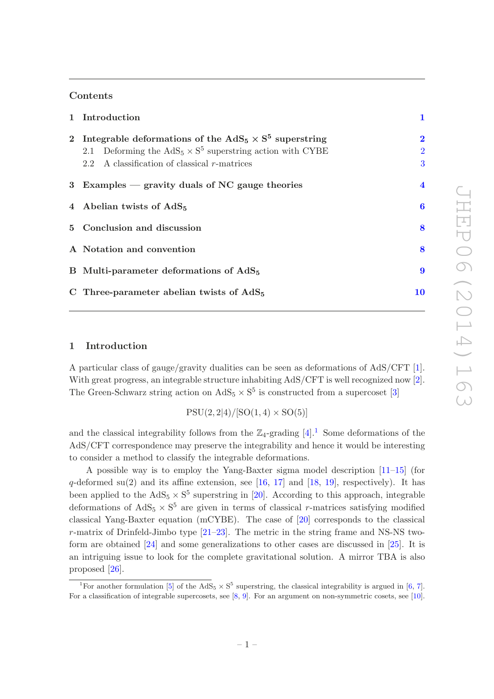## Contents

| 1 Introduction                                                                                                                                                                                       | $\mathbf 1$                        |
|------------------------------------------------------------------------------------------------------------------------------------------------------------------------------------------------------|------------------------------------|
| 2 Integrable deformations of the $AdS_5 \times S^5$ superstring<br>2.1 Deforming the $AdS_5 \times S^5$ superstring action with CYBE<br>A classification of classical r-matrices<br>$2.2\phantom{0}$ | $\mathbf 2$<br>$\overline{2}$<br>3 |
| 3 Examples $-$ gravity duals of NC gauge theories                                                                                                                                                    | $\overline{\mathbf{4}}$            |
| 4 Abelian twists of AdS <sub>5</sub>                                                                                                                                                                 | $\boldsymbol{6}$                   |
| 5 Conclusion and discussion                                                                                                                                                                          | 8                                  |
| A Notation and convention                                                                                                                                                                            | 8                                  |
| B Multi-parameter deformations of AdS <sub>5</sub>                                                                                                                                                   | 9                                  |
| C Three-parameter abelian twists of $AdS_5$                                                                                                                                                          | 10                                 |

#### <span id="page-1-0"></span>1 Introduction

A particular class of gauge/gravity dualities can be seen as deformations of AdS/CFT [\[1\]](#page-13-0). With great progress, an integrable structure inhabiting AdS/CFT is well recognized now [\[2\]](#page-13-1). The Green-Schwarz string action on  $AdS_5 \times S^5$  is constructed from a supercoset [\[3](#page-13-2)]

 $PSU(2, 2|4)/[SO(1, 4) \times SO(5)]$ 

and the classical integrability follows from the  $\mathbb{Z}_4$ -grading  $[4].<sup>1</sup>$  $[4].<sup>1</sup>$  $[4].<sup>1</sup>$  Some deformations of the AdS/CFT correspondence may preserve the integrability and hence it would be interesting to consider a method to classify the integrable deformations.

A possible way is to employ the Yang-Baxter sigma model description [\[11](#page-14-0)[–15\]](#page-14-1) (for q-deformed su(2) and its affine extension, see [\[16](#page-14-2), [17](#page-14-3)] and [\[18,](#page-14-4) [19](#page-14-5)], respectively). It has been applied to the  $AdS_5 \times S^5$  superstring in [\[20\]](#page-14-6). According to this approach, integrable deformations of  $AdS_5 \times S^5$  are given in terms of classical r-matrices satisfying modified classical Yang-Baxter equation (mCYBE). The case of [\[20](#page-14-6)] corresponds to the classical  $r$ -matrix of Drinfeld-Jimbo type  $[21-23]$ . The metric in the string frame and NS-NS twoform are obtained [\[24\]](#page-14-9) and some generalizations to other cases are discussed in [\[25\]](#page-14-10). It is an intriguing issue to look for the complete gravitational solution. A mirror TBA is also proposed [\[26\]](#page-14-11).

<span id="page-1-1"></span><sup>&</sup>lt;sup>1</sup>For another formulation [\[5](#page-13-4)] of the AdS<sub>5</sub>  $\times$  S<sup>5</sup> superstring, the classical integrability is argued in [\[6](#page-13-5), [7\]](#page-13-6). For a classification of integrable supercosets, see [\[8,](#page-13-7) [9\]](#page-13-8). For an argument on non-symmetric cosets, see [\[10\]](#page-13-9).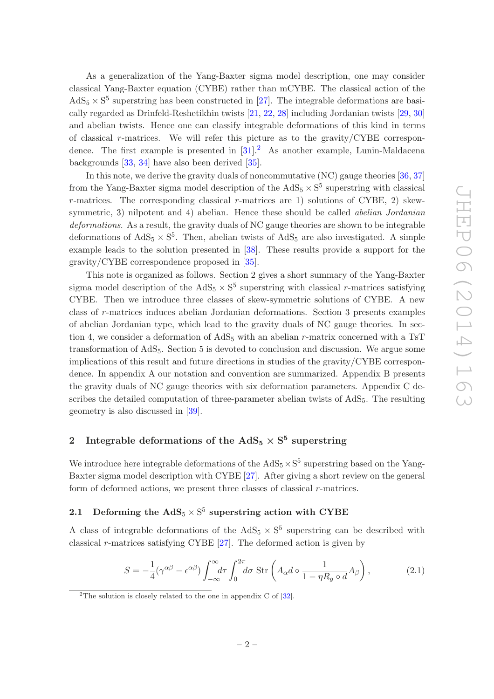As a generalization of the Yang-Baxter sigma model description, one may consider classical Yang-Baxter equation (CYBE) rather than mCYBE. The classical action of the  $AdS_5 \times S^5$  superstring has been constructed in [\[27\]](#page-14-12). The integrable deformations are basically regarded as Drinfeld-Reshetikhin twists [\[21](#page-14-7), [22](#page-14-13), [28\]](#page-14-14) including Jordanian twists [\[29](#page-14-15), [30\]](#page-14-16) and abelian twists. Hence one can classify integrable deformations of this kind in terms of classical r-matrices. We will refer this picture as to the gravity/ $\text{CYBE}$  correspondence. The first example is presented in  $[31]$ <sup>[2](#page-2-2)</sup> As another example, Lunin-Maldacena backgrounds [\[33](#page-15-0), [34\]](#page-15-1) have also been derived [\[35\]](#page-15-2).

In this note, we derive the gravity duals of noncommutative (NC) gauge theories [\[36](#page-15-3), [37\]](#page-15-4) from the Yang-Baxter sigma model description of the  $AdS_5 \times S^5$  superstring with classical  $r$ -matrices. The corresponding classical  $r$ -matrices are 1) solutions of CYBE, 2) skewsymmetric, 3) nilpotent and 4) abelian. Hence these should be called *abelian Jordanian* deformations. As a result, the gravity duals of NC gauge theories are shown to be integrable deformations of  $AdS_5 \times S^5$ . Then, abelian twists of  $AdS_5$  are also investigated. A simple example leads to the solution presented in [\[38\]](#page-15-5). These results provide a support for the gravity/CYBE correspondence proposed in [\[35](#page-15-2)].

This note is organized as follows. Section 2 gives a short summary of the Yang-Baxter sigma model description of the  $AdS_5 \times S^5$  superstring with classical r-matrices satisfying CYBE. Then we introduce three classes of skew-symmetric solutions of CYBE. A new class of r-matrices induces abelian Jordanian deformations. Section 3 presents examples of abelian Jordanian type, which lead to the gravity duals of NC gauge theories. In section 4, we consider a deformation of  $AdS_5$  with an abelian r-matrix concerned with a TsT transformation of  $AdS_5$ . Section 5 is devoted to conclusion and discussion. We argue some implications of this result and future directions in studies of the gravity/CYBE correspondence. In appendix A our notation and convention are summarized. Appendix B presents the gravity duals of NC gauge theories with six deformation parameters. Appendix C describes the detailed computation of three-parameter abelian twists of  $AdS_5$ . The resulting geometry is also discussed in [\[39\]](#page-15-6).

# <span id="page-2-0"></span>2 Integrable deformations of the  $AdS_5 \times S^5$  superstring

We introduce here integrable deformations of the  $AdS_5 \times S^5$  superstring based on the Yang-Baxter sigma model description with CYBE [\[27](#page-14-12)]. After giving a short review on the general form of deformed actions, we present three classes of classical r-matrices.

# <span id="page-2-1"></span>2.1 Deforming the  ${\rm AdS}_5\times {\rm S}^5$  superstring action with CYBE

A class of integrable deformations of the  $AdS_5 \times S^5$  superstring can be described with classical r-matrices satisfying CYBE  $[27]$ . The deformed action is given by

<span id="page-2-3"></span>
$$
S = -\frac{1}{4}(\gamma^{\alpha\beta} - \epsilon^{\alpha\beta}) \int_{-\infty}^{\infty} d\tau \int_{0}^{2\pi} d\sigma \operatorname{Str}\left(A_{\alpha}d\circ \frac{1}{1 - \eta R_{g}\circ d}A_{\beta}\right),\tag{2.1}
$$

<span id="page-2-2"></span><sup>&</sup>lt;sup>2</sup>The solution is closely related to the one in appendix C of  $[32]$ .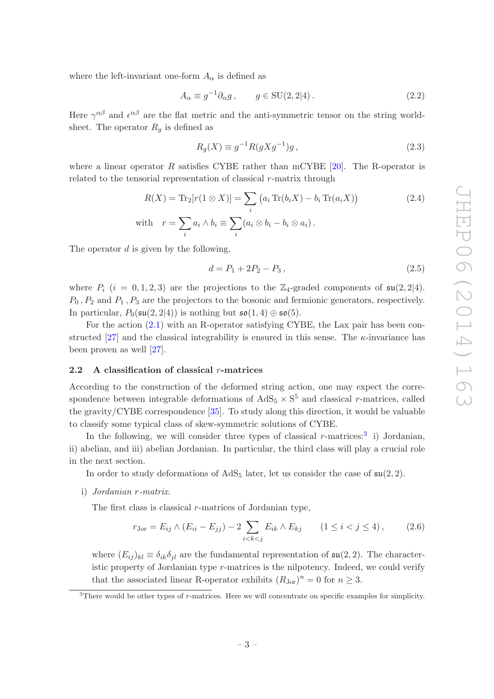where the left-invariant one-form  $A_{\alpha}$  is defined as

$$
A_{\alpha} \equiv g^{-1} \partial_{\alpha} g \,, \qquad g \in SU(2, 2|4) \,. \tag{2.2}
$$

Here  $\gamma^{\alpha\beta}$  and  $\epsilon^{\alpha\beta}$  are the flat metric and the anti-symmetric tensor on the string worldsheet. The operator  $R_q$  is defined as

$$
R_g(X) \equiv g^{-1} R(gXg^{-1})g \,, \tag{2.3}
$$

where a linear operator R satisfies CYBE rather than mCYBE  $[20]$ . The R-operator is related to the tensorial representation of classical r-matrix through

$$
R(X) = \text{Tr}_2[r(1 \otimes X)] = \sum_i (a_i \text{Tr}(b_i X) - b_i \text{Tr}(a_i X))
$$
\n
$$
\text{with} \quad r = \sum_i a_i \wedge b_i \equiv \sum_i (a_i \otimes b_i - b_i \otimes a_i).
$$
\n
$$
(2.4)
$$

The operator  $d$  is given by the following,

<span id="page-3-3"></span>
$$
d = P_1 + 2P_2 - P_3, \t\t(2.5)
$$

where  $P_i$  (i = 0, 1, 2, 3) are the projections to the  $\mathbb{Z}_4$ -graded components of  $\mathfrak{su}(2, 2|4)$ .  $P_0$ ,  $P_2$  and  $P_1$ ,  $P_3$  are the projectors to the bosonic and fermionic generators, respectively. In particular,  $P_0(\mathfrak{su}(2,2|4))$  is nothing but  $\mathfrak{so}(1,4) \oplus \mathfrak{so}(5)$ .

For the action [\(2.1\)](#page-2-3) with an R-operator satisfying CYBE, the Lax pair has been con-structed [\[27](#page-14-12)] and the classical integrability is ensured in this sense. The  $\kappa$ -invariance has been proven as well [\[27](#page-14-12)].

#### <span id="page-3-0"></span>2.2 A classification of classical  $r$ -matrices

According to the construction of the deformed string action, one may expect the correspondence between integrable deformations of  $AdS_5 \times S^5$  and classical *r*-matrices, called the gravity/CYBE correspondence  $[35]$ . To study along this direction, it would be valuable to classify some typical class of skew-symmetric solutions of CYBE.

In the following, we will consider three types of classical  $r$ -matrices:<sup>[3](#page-3-1)</sup> i) Jordanian, ii) abelian, and iii) abelian Jordanian. In particular, the third class will play a crucial role in the next section.

In order to study deformations of  $AdS_5$  later, let us consider the case of  $\mathfrak{su}(2,2)$ .

i) Jordanian r-matrix.

The first class is classical r-matrices of Jordanian type,

<span id="page-3-2"></span>
$$
r_{\text{Jor}} = E_{ij} \wedge (E_{ii} - E_{jj}) - 2 \sum_{i < k < j} E_{ik} \wedge E_{kj} \qquad (1 \le i < j \le 4), \qquad (2.6)
$$

where  $(E_{ij})_{kl} \equiv \delta_{ik}\delta_{il}$  are the fundamental representation of  $\mathfrak{su}(2,2)$ . The characteristic property of Jordanian type r-matrices is the nilpotency. Indeed, we could verify that the associated linear R-operator exhibits  $(R_{Jor})^n = 0$  for  $n \geq 3$ .

<span id="page-3-1"></span> $3$ There would be other types of r-matrices. Here we will concentrate on specific examples for simplicity.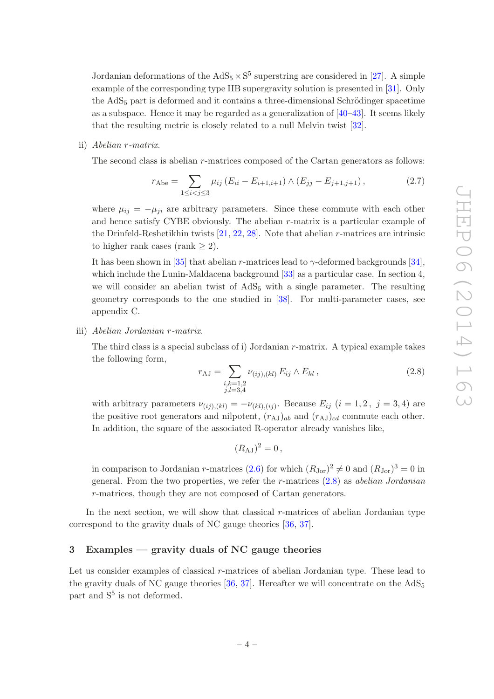Jordanian deformations of the  $AdS_5 \times S^5$  superstring are considered in [\[27\]](#page-14-12). A simple example of the corresponding type IIB supergravity solution is presented in [\[31](#page-14-17)]. Only the  $AdS<sub>5</sub>$  part is deformed and it contains a three-dimensional Schrödinger spacetime as a subspace. Hence it may be regarded as a generalization of  $[40-43]$  $[40-43]$ . It seems likely that the resulting metric is closely related to a null Melvin twist [\[32](#page-15-7)].

ii) Abelian r-matrix.

The second class is abelian r-matrices composed of the Cartan generators as follows:

$$
r_{\text{Abe}} = \sum_{1 \le i < j \le 3} \mu_{ij} \left( E_{ii} - E_{i+1, i+1} \right) \wedge \left( E_{jj} - E_{j+1, j+1} \right),\tag{2.7}
$$

where  $\mu_{ij} = -\mu_{ji}$  are arbitrary parameters. Since these commute with each other and hence satisfy CYBE obviously. The abelian r-matrix is a particular example of the Drinfeld-Reshetikhin twists [\[21,](#page-14-7) [22](#page-14-13), [28](#page-14-14)]. Note that abelian r-matrices are intrinsic to higher rank cases (rank  $\geq$  2).

It has been shown in [\[35](#page-15-2)] that abelian r-matrices lead to  $\gamma$ -deformed backgrounds [\[34\]](#page-15-1), which include the Lunin-Maldacena background [\[33\]](#page-15-0) as a particular case. In section 4, we will consider an abelian twist of  $AdS_5$  with a single parameter. The resulting geometry corresponds to the one studied in [\[38](#page-15-5)]. For multi-parameter cases, see appendix C.

iii) Abelian Jordanian r-matrix.

The third class is a special subclass of i) Jordanian  $r$ -matrix. A typical example takes the following form,

<span id="page-4-1"></span>
$$
r_{\rm AJ} = \sum_{\substack{i,k=1,2\\j,l=3,4}} \nu_{(ij),(kl)} E_{ij} \wedge E_{kl},\tag{2.8}
$$

with arbitrary parameters  $\nu_{(ij),(kl)} = -\nu_{(kl),(ij)}$ . Because  $E_{ij}$   $(i = 1, 2, j = 3, 4)$  are the positive root generators and nilpotent,  $(r_{\rm AJ})_{ab}$  and  $(r_{\rm AJ})_{cd}$  commute each other. In addition, the square of the associated R-operator already vanishes like,

$$
(R_{\rm AJ})^2=0\,,
$$

in comparison to Jordanian *r*-matrices [\(2.6\)](#page-3-2) for which  $(R_{\text{Jor}})^2 \neq 0$  and  $(R_{\text{Jor}})^3 = 0$  in general. From the two properties, we refer the *r*-matrices  $(2.8)$  as *abelian Jordanian* r-matrices, though they are not composed of Cartan generators.

In the next section, we will show that classical  $r$ -matrices of abelian Jordanian type correspond to the gravity duals of NC gauge theories [\[36](#page-15-3), [37\]](#page-15-4).

## <span id="page-4-0"></span>3 Examples — gravity duals of NC gauge theories

Let us consider examples of classical  $r$ -matrices of abelian Jordanian type. These lead to the gravity duals of NC gauge theories [\[36](#page-15-3), [37\]](#page-15-4). Hereafter we will concentrate on the  $AdS_5$ part and  $S^5$  is not deformed.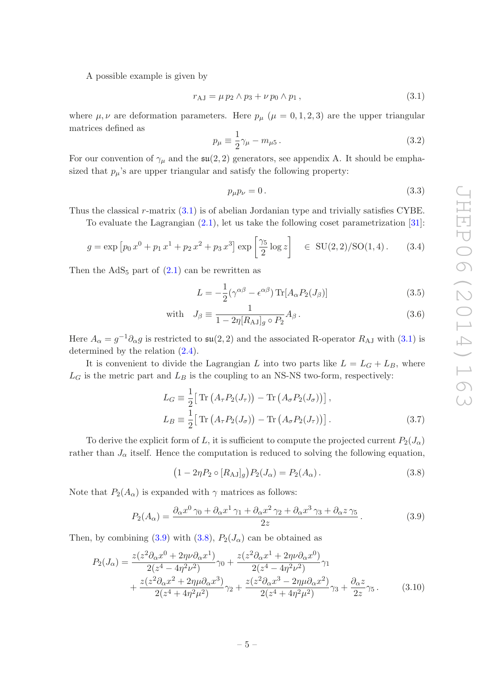A possible example is given by

<span id="page-5-0"></span>
$$
r_{\rm AJ} = \mu \, p_2 \wedge p_3 + \nu \, p_0 \wedge p_1 \,, \tag{3.1}
$$

where  $\mu, \nu$  are deformation parameters. Here  $p_{\mu}$  ( $\mu = 0, 1, 2, 3$ ) are the upper triangular matrices defined as

<span id="page-5-3"></span>
$$
p_{\mu} \equiv \frac{1}{2} \gamma_{\mu} - m_{\mu 5} \,. \tag{3.2}
$$

For our convention of  $\gamma_{\mu}$  and the  $\mathfrak{su}(2,2)$  generators, see appendix A. It should be emphasized that  $p_{\mu}$ 's are upper triangular and satisfy the following property:

$$
p_{\mu}p_{\nu}=0.\t\t(3.3)
$$

Thus the classical r-matrix [\(3.1\)](#page-5-0) is of abelian Jordanian type and trivially satisfies CYBE.

To evaluate the Lagrangian [\(2.1\)](#page-2-3), let us take the following coset parametrization [\[31\]](#page-14-17):

$$
g = \exp \left[ p_0 x^0 + p_1 x^1 + p_2 x^2 + p_3 x^3 \right] \exp \left[ \frac{\gamma_5}{2} \log z \right] \quad \in \text{SU}(2, 2) / \text{SO}(1, 4). \tag{3.4}
$$

Then the  $AdS_5$  part of  $(2.1)$  can be rewritten as

$$
L = -\frac{1}{2} (\gamma^{\alpha\beta} - \epsilon^{\alpha\beta}) \operatorname{Tr} [A_{\alpha} P_2(J_{\beta})]
$$
(3.5)

with 
$$
J_{\beta} \equiv \frac{1}{1 - 2\eta [R_{\text{AJ}}]_g \circ P_2} A_{\beta}.
$$
 (3.6)

Here  $A_{\alpha} = g^{-1} \partial_{\alpha} g$  is restricted to  $\mathfrak{su}(2,2)$  and the associated R-operator  $R_{\rm AJ}$  with  $(3.1)$  is determined by the relation [\(2.4\)](#page-3-3).

It is convenient to divide the Lagrangian L into two parts like  $L = L_G + L_B$ , where  $L_G$  is the metric part and  $L_B$  is the coupling to an NS-NS two-form, respectively:

$$
L_G \equiv \frac{1}{2} \left[ \text{Tr} \left( A_\tau P_2(J_\tau) \right) - \text{Tr} \left( A_\sigma P_2(J_\sigma) \right) \right],
$$
  
\n
$$
L_B \equiv \frac{1}{2} \left[ \text{Tr} \left( A_\tau P_2(J_\sigma) \right) - \text{Tr} \left( A_\sigma P_2(J_\tau) \right) \right].
$$
\n(3.7)

To derive the explicit form of L, it is sufficient to compute the projected current  $P_2(J_\alpha)$ rather than  $J_{\alpha}$  itself. Hence the computation is reduced to solving the following equation,

<span id="page-5-2"></span>
$$
(1 - 2\eta P_2 \circ [R_{\text{AJ}}]_g) P_2(J_\alpha) = P_2(A_\alpha).
$$
 (3.8)

Note that  $P_2(A_\alpha)$  is expanded with  $\gamma$  matrices as follows:

<span id="page-5-1"></span>
$$
P_2(A_\alpha) = \frac{\partial_\alpha x^0 \gamma_0 + \partial_\alpha x^1 \gamma_1 + \partial_\alpha x^2 \gamma_2 + \partial_\alpha x^3 \gamma_3 + \partial_\alpha z \gamma_5}{2z}.
$$
 (3.9)

Then, by combining [\(3.9\)](#page-5-1) with [\(3.8\)](#page-5-2),  $P_2(J_\alpha)$  can be obtained as

$$
P_2(J_{\alpha}) = \frac{z(z^2 \partial_{\alpha} x^0 + 2\eta \nu \partial_{\alpha} x^1)}{2(z^4 - 4\eta^2 \nu^2)} \gamma_0 + \frac{z(z^2 \partial_{\alpha} x^1 + 2\eta \nu \partial_{\alpha} x^0)}{2(z^4 - 4\eta^2 \nu^2)} \gamma_1 + \frac{z(z^2 \partial_{\alpha} x^2 + 2\eta \mu \partial_{\alpha} x^3)}{2(z^4 + 4\eta^2 \mu^2)} \gamma_2 + \frac{z(z^2 \partial_{\alpha} x^3 - 2\eta \mu \partial_{\alpha} x^2)}{2(z^4 + 4\eta^2 \mu^2)} \gamma_3 + \frac{\partial_{\alpha} z}{2z} \gamma_5.
$$
(3.10)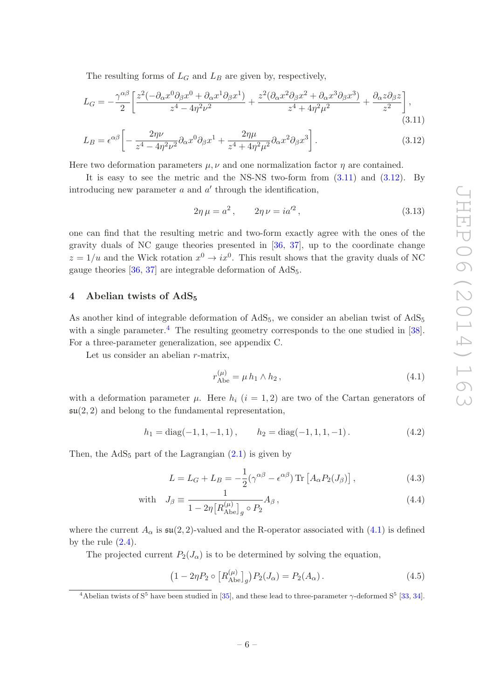The resulting forms of  $L_G$  and  $L_B$  are given by, respectively,

$$
L_G = -\frac{\gamma^{\alpha\beta}}{2} \left[ \frac{z^2(-\partial_\alpha x^0 \partial_\beta x^0 + \partial_\alpha x^1 \partial_\beta x^1)}{z^4 - 4\eta^2 \nu^2} + \frac{z^2(\partial_\alpha x^2 \partial_\beta x^2 + \partial_\alpha x^3 \partial_\beta x^3)}{z^4 + 4\eta^2 \mu^2} + \frac{\partial_\alpha z \partial_\beta z}{z^2} \right],
$$
\n(3.11)

$$
L_B = \epsilon^{\alpha\beta} \left[ -\frac{2\eta\nu}{z^4 - 4\eta^2 \nu^2} \partial_\alpha x^0 \partial_\beta x^1 + \frac{2\eta\mu}{z^4 + 4\eta^2 \mu^2} \partial_\alpha x^2 \partial_\beta x^3 \right]. \tag{3.12}
$$

Here two deformation parameters  $\mu$ ,  $\nu$  and one normalization factor  $\eta$  are contained.

It is easy to see the metric and the NS-NS two-form from [\(3.11\)](#page-6-1) and [\(3.12\)](#page-6-2). By introducing new parameter  $a$  and  $a'$  through the identification,

<span id="page-6-2"></span><span id="page-6-1"></span>
$$
2\eta \,\mu = a^2 \,, \qquad 2\eta \,\nu = ia'^2 \,, \tag{3.13}
$$

one can find that the resulting metric and two-form exactly agree with the ones of the gravity duals of NC gauge theories presented in [\[36,](#page-15-3) [37\]](#page-15-4), up to the coordinate change  $z = 1/u$  and the Wick rotation  $x^0 \to ix^0$ . This result shows that the gravity duals of NC gauge theories  $[36, 37]$  $[36, 37]$  $[36, 37]$  are integrable deformation of  $AdS_5$ .

#### <span id="page-6-0"></span>4 Abelian twists of  $AdS_5$

As another kind of integrable deformation of  $AdS_5$ , we consider an abelian twist of  $AdS_5$ with a single parameter.<sup>[4](#page-6-3)</sup> The resulting geometry corresponds to the one studied in  $[38]$ . For a three-parameter generalization, see appendix C.

Let us consider an abelian  $r$ -matrix,

<span id="page-6-4"></span>
$$
r_{\rm Abe}^{(\mu)} = \mu \, h_1 \wedge h_2 \,, \tag{4.1}
$$

with a deformation parameter  $\mu$ . Here  $h_i$  (i = 1, 2) are two of the Cartan generators of  $\mathfrak{su}(2,2)$  and belong to the fundamental representation,

$$
h_1 = diag(-1, 1, -1, 1), \qquad h_2 = diag(-1, 1, 1, -1). \tag{4.2}
$$

Then, the  $AdS_5$  part of the Lagrangian  $(2.1)$  is given by

$$
L = L_G + L_B = -\frac{1}{2} (\gamma^{\alpha\beta} - \epsilon^{\alpha\beta}) \operatorname{Tr} \left[ A_\alpha P_2(J_\beta) \right],\tag{4.3}
$$

with 
$$
J_{\beta} \equiv \frac{1}{1 - 2\eta \left[ R_{\text{Abel}}^{(\mu)} \right]_{g} \circ P_{2}} A_{\beta}, \qquad (4.4)
$$

where the current  $A_{\alpha}$  is  $\mathfrak{su}(2,2)$ -valued and the R-operator associated with  $(4.1)$  is defined by the rule  $(2.4)$ .

The projected current  $P_2(J_\alpha)$  is to be determined by solving the equation,

<span id="page-6-5"></span>
$$
(1 - 2\eta P_2 \circ [R_{\text{Abe}}^{(\mu)}]_g) P_2(J_\alpha) = P_2(A_\alpha). \tag{4.5}
$$

<span id="page-6-3"></span><sup>&</sup>lt;sup>4</sup>Abelian twists of  $S^5$  have been studied in [\[35\]](#page-15-2), and these lead to three-parameter  $\gamma$ -deformed  $S^5$  [\[33,](#page-15-0) [34\]](#page-15-1).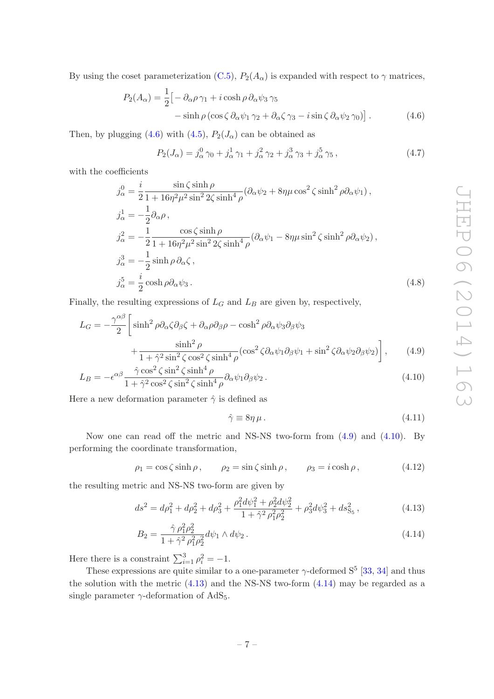By using the coset parameterization [\(C.5\)](#page-11-0),  $P_2(A_\alpha)$  is expanded with respect to  $\gamma$  matrices,

$$
P_2(A_\alpha) = \frac{1}{2} \left[ -\partial_\alpha \rho \gamma_1 + i \cosh \rho \partial_\alpha \psi_3 \gamma_5 - \sinh \rho \left( \cos \zeta \partial_\alpha \psi_1 \gamma_2 + \partial_\alpha \zeta \gamma_3 - i \sin \zeta \partial_\alpha \psi_2 \gamma_0 \right) \right].
$$
 (4.6)

Then, by plugging [\(4.6\)](#page-7-0) with [\(4.5\)](#page-6-5),  $P_2(J_\alpha)$  can be obtained as

<span id="page-7-0"></span>
$$
P_2(J_\alpha) = j_\alpha^0 \gamma_0 + j_\alpha^1 \gamma_1 + j_\alpha^2 \gamma_2 + j_\alpha^3 \gamma_3 + j_\alpha^5 \gamma_5, \qquad (4.7)
$$

with the coefficients

$$
j_{\alpha}^{0} = \frac{i}{2} \frac{\sin \zeta \sinh \rho}{1 + 16\eta^{2} \mu^{2} \sin^{2} 2\zeta \sinh^{4} \rho} (\partial_{\alpha} \psi_{2} + 8\eta \mu \cos^{2} \zeta \sinh^{2} \rho \partial_{\alpha} \psi_{1}),
$$
  
\n
$$
j_{\alpha}^{1} = -\frac{1}{2} \partial_{\alpha} \rho,
$$
  
\n
$$
j_{\alpha}^{2} = -\frac{1}{2} \frac{\cos \zeta \sinh \rho}{1 + 16\eta^{2} \mu^{2} \sin^{2} 2\zeta \sinh^{4} \rho} (\partial_{\alpha} \psi_{1} - 8\eta \mu \sin^{2} \zeta \sinh^{2} \rho \partial_{\alpha} \psi_{2}),
$$
  
\n
$$
j_{\alpha}^{3} = -\frac{1}{2} \sinh \rho \partial_{\alpha} \zeta,
$$
  
\n
$$
j_{\alpha}^{5} = \frac{i}{2} \cosh \rho \partial_{\alpha} \psi_{3}.
$$
  
\n(4.8)

Finally, the resulting expressions of  $L_G$  and  $L_B$  are given by, respectively,

$$
L_G = -\frac{\gamma^{\alpha\beta}}{2} \left[ \sinh^2 \rho \partial_\alpha \zeta \partial_\beta \zeta + \partial_\alpha \rho \partial_\beta \rho - \cosh^2 \rho \partial_\alpha \psi_3 \partial_\beta \psi_3 + \frac{\sinh^2 \rho}{1 + \hat{\gamma}^2 \sin^2 \zeta \cos^2 \zeta \sinh^4 \rho} (\cos^2 \zeta \partial_\alpha \psi_1 \partial_\beta \psi_1 + \sin^2 \zeta \partial_\alpha \psi_2 \partial_\beta \psi_2) \right], \qquad (4.9)
$$

$$
L_B = -\epsilon^{\alpha\beta} \frac{\hat{\gamma}\cos^2\zeta\sin^2\zeta\sinh^4\rho}{1 + \hat{\gamma}^2\cos^2\zeta\sin^2\zeta\sinh^4\rho} \partial_\alpha\psi_1 \partial_\beta\psi_2.
$$
 (4.10)

Here a new deformation parameter  $\hat{\gamma}$  is defined as

<span id="page-7-4"></span><span id="page-7-3"></span><span id="page-7-2"></span><span id="page-7-1"></span>
$$
\hat{\gamma} \equiv 8\eta \,\mu. \tag{4.11}
$$

Now one can read off the metric and NS-NS two-form from [\(4.9\)](#page-7-1) and [\(4.10\)](#page-7-2). By performing the coordinate transformation,

<span id="page-7-5"></span> $\rho_1 = \cos \zeta \sinh \rho$ ,  $\rho_2 = \sin \zeta \sinh \rho$ ,  $\rho_3 = i \cosh \rho$ , (4.12)

the resulting metric and NS-NS two-form are given by

$$
ds^{2} = d\rho_{1}^{2} + d\rho_{2}^{2} + d\rho_{3}^{2} + \frac{\rho_{1}^{2}d\psi_{1}^{2} + \rho_{2}^{2}d\psi_{2}^{2}}{1 + \hat{\gamma}^{2}\rho_{1}^{2}\rho_{2}^{2}} + \rho_{3}^{2}d\psi_{3}^{2} + ds_{\text{S}_{5}}^{2}, \qquad (4.13)
$$

$$
B_2 = \frac{\hat{\gamma} \,\rho_1^2 \rho_2^2}{1 + \hat{\gamma}^2 \,\rho_1^2 \rho_2^2} d\psi_1 \wedge d\psi_2 \,. \tag{4.14}
$$

Here there is a constraint  $\sum_{i=1}^{3} \rho_i^2 = -1$ .

These expressions are quite similar to a one-parameter  $\gamma$ -deformed  $S^5$  [\[33,](#page-15-0) [34\]](#page-15-1) and thus the solution with the metric  $(4.13)$  and the NS-NS two-form  $(4.14)$  may be regarded as a single parameter  $\gamma$ -deformation of AdS<sub>5</sub>.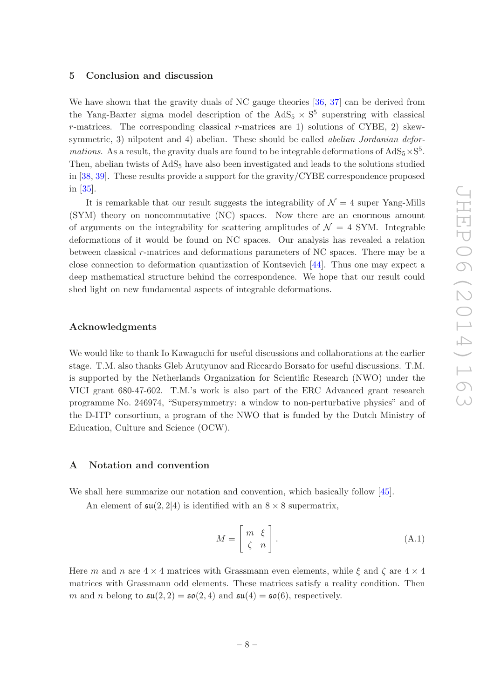#### <span id="page-8-0"></span>5 Conclusion and discussion

We have shown that the gravity duals of NC gauge theories [\[36](#page-15-3), [37](#page-15-4)] can be derived from the Yang-Baxter sigma model description of the  $AdS_5 \times S^5$  superstring with classical  $r$ -matrices. The corresponding classical  $r$ -matrices are 1) solutions of CYBE, 2) skewsymmetric, 3) nilpotent and 4) abelian. These should be called *abelian Jordanian deformations.* As a result, the gravity duals are found to be integrable deformations of  $AdS_5 \times S^5$ . Then, abelian twists of AdS<sub>5</sub> have also been investigated and leads to the solutions studied in [\[38](#page-15-5), [39\]](#page-15-6). These results provide a support for the gravity/CYBE correspondence proposed in [\[35](#page-15-2)].

It is remarkable that our result suggests the integrability of  $\mathcal{N}=4$  super Yang-Mills (SYM) theory on noncommutative (NC) spaces. Now there are an enormous amount of arguments on the integrability for scattering amplitudes of  $\mathcal{N} = 4$  SYM. Integrable deformations of it would be found on NC spaces. Our analysis has revealed a relation between classical r-matrices and deformations parameters of NC spaces. There may be a close connection to deformation quantization of Kontsevich [\[44\]](#page-15-10). Thus one may expect a deep mathematical structure behind the correspondence. We hope that our result could shed light on new fundamental aspects of integrable deformations.

#### Acknowledgments

We would like to thank Io Kawaguchi for useful discussions and collaborations at the earlier stage. T.M. also thanks Gleb Arutyunov and Riccardo Borsato for useful discussions. T.M. is supported by the Netherlands Organization for Scientific Research (NWO) under the VICI grant 680-47-602. T.M.'s work is also part of the ERC Advanced grant research programme No. 246974, "Supersymmetry: a window to non-perturbative physics" and of the D-ITP consortium, a program of the NWO that is funded by the Dutch Ministry of Education, Culture and Science (OCW).

#### <span id="page-8-1"></span>A Notation and convention

We shall here summarize our notation and convention, which basically follow [\[45](#page-15-11)].

An element of  $\mathfrak{su}(2,2|4)$  is identified with an  $8 \times 8$  supermatrix,

$$
M = \left[ \begin{array}{cc} m & \xi \\ \zeta & n \end{array} \right]. \tag{A.1}
$$

Here m and n are  $4 \times 4$  matrices with Grassmann even elements, while  $\xi$  and  $\zeta$  are  $4 \times 4$ matrices with Grassmann odd elements. These matrices satisfy a reality condition. Then m and n belong to  $\mathfrak{su}(2,2) = \mathfrak{so}(2,4)$  and  $\mathfrak{su}(4) = \mathfrak{so}(6)$ , respectively.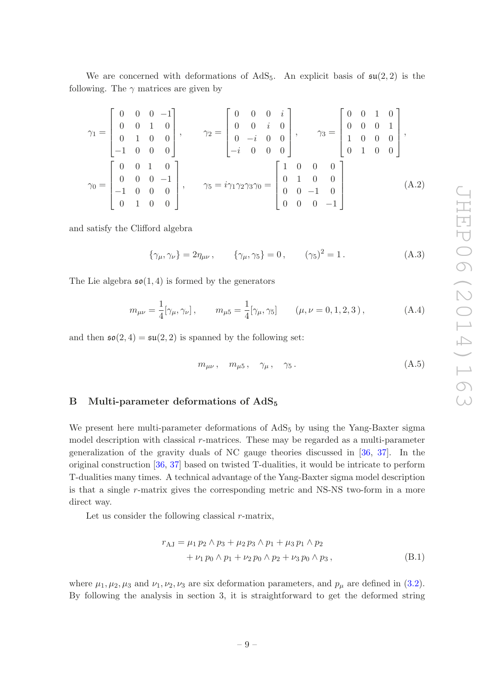We are concerned with deformations of AdS<sub>5</sub>. An explicit basis of  $\mathfrak{su}(2,2)$  is the following. The  $\gamma$  matrices are given by

$$
\gamma_1 = \begin{bmatrix} 0 & 0 & 0 & -1 \\ 0 & 0 & 1 & 0 \\ 0 & 1 & 0 & 0 \\ -1 & 0 & 0 & 0 \end{bmatrix}, \qquad \gamma_2 = \begin{bmatrix} 0 & 0 & 0 & i \\ 0 & 0 & i & 0 \\ 0 & -i & 0 & 0 \\ -i & 0 & 0 & 0 \end{bmatrix}, \qquad \gamma_3 = \begin{bmatrix} 0 & 0 & 1 & 0 \\ 0 & 0 & 0 & 1 \\ 1 & 0 & 0 & 0 \\ 0 & 1 & 0 & 0 \end{bmatrix},
$$

$$
\gamma_0 = \begin{bmatrix} 0 & 0 & 1 & 0 \\ 0 & 0 & 0 & -1 \\ -1 & 0 & 0 & 0 \\ 0 & 1 & 0 & 0 \end{bmatrix}, \qquad \gamma_5 = i\gamma_1\gamma_2\gamma_3\gamma_0 = \begin{bmatrix} 1 & 0 & 0 & 0 \\ 0 & 1 & 0 & 0 \\ 0 & 0 & -1 & 0 \\ 0 & 0 & 0 & -1 \end{bmatrix}
$$
(A.2)

and satisfy the Clifford algebra

$$
\{\gamma_{\mu}, \gamma_{\nu}\} = 2\eta_{\mu\nu}, \qquad \{\gamma_{\mu}, \gamma_{5}\} = 0, \qquad (\gamma_{5})^{2} = 1.
$$
 (A.3)

The Lie algebra  $\mathfrak{so}(1,4)$  is formed by the generators

$$
m_{\mu\nu} = \frac{1}{4} [\gamma_{\mu}, \gamma_{\nu}], \qquad m_{\mu 5} = \frac{1}{4} [\gamma_{\mu}, \gamma_{5}] \qquad (\mu, \nu = 0, 1, 2, 3), \qquad (A.4)
$$

and then  $\mathfrak{so}(2,4) = \mathfrak{su}(2,2)$  is spanned by the following set:

$$
m_{\mu\nu}, \quad m_{\mu 5}, \quad \gamma_{\mu}, \quad \gamma_5. \tag{A.5}
$$

#### <span id="page-9-0"></span>B Multi-parameter deformations of AdS<sub>5</sub>

We present here multi-parameter deformations of  $AdS<sub>5</sub>$  by using the Yang-Baxter sigma model description with classical  $r$ -matrices. These may be regarded as a multi-parameter generalization of the gravity duals of NC gauge theories discussed in [\[36](#page-15-3), [37](#page-15-4)]. In the original construction [\[36](#page-15-3), [37\]](#page-15-4) based on twisted T-dualities, it would be intricate to perform T-dualities many times. A technical advantage of the Yang-Baxter sigma model description is that a single r-matrix gives the corresponding metric and NS-NS two-form in a more direct way.

Let us consider the following classical r-matrix,

$$
r_{\text{AJ}} = \mu_1 \, p_2 \wedge p_3 + \mu_2 \, p_3 \wedge p_1 + \mu_3 \, p_1 \wedge p_2 + \nu_1 \, p_0 \wedge p_1 + \nu_2 \, p_0 \wedge p_2 + \nu_3 \, p_0 \wedge p_3 ,
$$
 (B.1)

where  $\mu_1, \mu_2, \mu_3$  and  $\nu_1, \nu_2, \nu_3$  are six deformation parameters, and  $p_\mu$  are defined in [\(3.2\)](#page-5-3). By following the analysis in section 3, it is straightforward to get the deformed string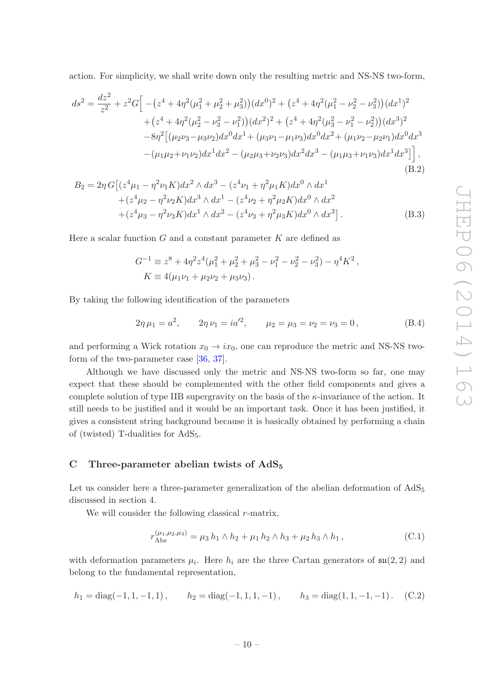action. For simplicity, we shall write down only the resulting metric and NS-NS two-form,

$$
ds^{2} = \frac{dz^{2}}{z^{2}} + z^{2}G\Big[-\left(z^{4} + 4\eta^{2}(\mu_{1}^{2} + \mu_{2}^{2} + \mu_{3}^{2})\right)(dx^{0})^{2} + \left(z^{4} + 4\eta^{2}(\mu_{1}^{2} - \nu_{2}^{2} - \nu_{3}^{2})\right)(dx^{1})^{2} + \left(z^{4} + 4\eta^{2}(\mu_{2}^{2} - \nu_{3}^{2} - \nu_{1}^{2})\right)(dx^{2})^{2} + \left(z^{4} + 4\eta^{2}(\mu_{3}^{2} - \nu_{1}^{2} - \nu_{2}^{2})\right)(dx^{3})^{2} - 8\eta^{2}\Big[(\mu_{2}\nu_{3} - \mu_{3}\nu_{2})dx^{0}dx^{1} + (\mu_{3}\nu_{1} - \mu_{1}\nu_{3})dx^{0}dx^{2} + (\mu_{1}\nu_{2} - \mu_{2}\nu_{1})dx^{0}dx^{3} - (\mu_{1}\mu_{2} + \nu_{1}\nu_{2})dx^{1}dx^{2} - (\mu_{2}\mu_{3} + \nu_{2}\nu_{3})dx^{2}dx^{3} - (\mu_{1}\mu_{3} + \nu_{1}\nu_{3})dx^{1}dx^{3}\Big]\Big],
$$
\n(B.2)

$$
B_2 = 2\eta G \left[ (z^4 \mu_1 - \eta^2 \nu_1 K) dx^2 \wedge dx^3 - (z^4 \nu_1 + \eta^2 \mu_1 K) dx^0 \wedge dx^1 + (z^4 \mu_2 - \eta^2 \nu_2 K) dx^3 \wedge dx^1 - (z^4 \nu_2 + \eta^2 \mu_2 K) dx^0 \wedge dx^2 + (z^4 \mu_3 - \eta^2 \nu_3 K) dx^1 \wedge dx^2 - (z^4 \nu_3 + \eta^2 \mu_3 K) dx^0 \wedge dx^3 \right].
$$
 (B.3)

Here a scalar function  $G$  and a constant parameter  $K$  are defined as

$$
G^{-1} \equiv z^8 + 4\eta^2 z^4 (\mu_1^2 + \mu_2^2 + \mu_3^2 - \nu_1^2 - \nu_2^2 - \nu_3^2) - \eta^4 K^2,
$$
  
\n
$$
K \equiv 4(\mu_1 \nu_1 + \mu_2 \nu_2 + \mu_3 \nu_3).
$$

By taking the following identification of the parameters

$$
2\eta \mu_1 = a^2, \qquad 2\eta \nu_1 = ia'^2, \qquad \mu_2 = \mu_3 = \nu_2 = \nu_3 = 0,
$$
 (B.4)

and performing a Wick rotation  $x_0 \rightarrow ix_0$ , one can reproduce the metric and NS-NS twoform of the two-parameter case [\[36](#page-15-3), [37\]](#page-15-4).

Although we have discussed only the metric and NS-NS two-form so far, one may expect that these should be complemented with the other field components and gives a complete solution of type IIB supergravity on the basis of the  $\kappa$ -invariance of the action. It still needs to be justified and it would be an important task. Once it has been justified, it gives a consistent string background because it is basically obtained by performing a chain of (twisted) T-dualities for AdS5.

#### <span id="page-10-0"></span>C Three-parameter abelian twists of  $AdS_5$

Let us consider here a three-parameter generalization of the abelian deformation of  $AdS_5$ discussed in section 4.

We will consider the following classical  $r$ -matrix,

<span id="page-10-1"></span>
$$
r_{\text{Abe}}^{(\mu_1, \mu_2, \mu_3)} = \mu_3 h_1 \wedge h_2 + \mu_1 h_2 \wedge h_3 + \mu_2 h_3 \wedge h_1, \tag{C.1}
$$

with deformation parameters  $\mu_i$ . Here  $h_i$  are the three Cartan generators of  $\mathfrak{su}(2,2)$  and belong to the fundamental representation,

$$
h_1 = diag(-1, 1, -1, 1), \qquad h_2 = diag(-1, 1, 1, -1), \qquad h_3 = diag(1, 1, -1, -1). \tag{C.2}
$$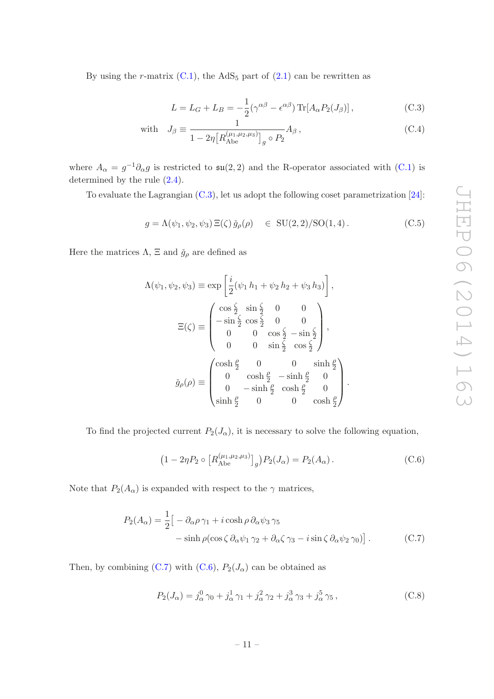By using the r-matrix  $(C.1)$ , the AdS<sub>5</sub> part of  $(2.1)$  can be rewritten as

<span id="page-11-1"></span>
$$
L = L_G + L_B = -\frac{1}{2} (\gamma^{\alpha \beta} - \epsilon^{\alpha \beta}) \operatorname{Tr} [A_\alpha P_2(J_\beta)], \qquad (C.3)
$$

with 
$$
J_{\beta} \equiv \frac{1}{1 - 2\eta \left[ R_{\text{Abe}}^{(\mu_1, \mu_2, \mu_3)} \right]_g \circ P_2} A_{\beta},
$$
 (C.4)

where  $A_{\alpha} = g^{-1}\partial_{\alpha}g$  is restricted to  $\mathfrak{su}(2,2)$  and the R-operator associated with [\(C.1\)](#page-10-1) is determined by the rule [\(2.4\)](#page-3-3).

To evaluate the Lagrangian [\(C.3\)](#page-11-1), let us adopt the following coset parametrization [\[24\]](#page-14-9):

<span id="page-11-0"></span>
$$
g = \Lambda(\psi_1, \psi_2, \psi_3) \,\Xi(\zeta) \,\check{g}_{\rho}(\rho) \quad \in \text{SU}(2, 2)/\text{SO}(1, 4) \,. \tag{C.5}
$$

Here the matrices  $\Lambda$ ,  $\Xi$  and  $\check{g}_\rho$  are defined as

$$
\Lambda(\psi_1, \psi_2, \psi_3) \equiv \exp\left[\frac{i}{2}(\psi_1 h_1 + \psi_2 h_2 + \psi_3 h_3)\right],
$$
  

$$
\Xi(\zeta) \equiv \begin{pmatrix} \cos\frac{\zeta}{2} & \sin\frac{\zeta}{2} & 0 & 0\\ -\sin\frac{\zeta}{2} & \cos\frac{\zeta}{2} & 0 & 0\\ 0 & 0 & \cos\frac{\zeta}{2} & -\sin\frac{\zeta}{2}\\ 0 & 0 & \sin\frac{\zeta}{2} & \cos\frac{\zeta}{2} \end{pmatrix},
$$
  

$$
\check{g}_{\rho}(\rho) \equiv \begin{pmatrix} \cosh\frac{\rho}{2} & 0 & 0 & \sinh\frac{\rho}{2} \\ 0 & \cosh\frac{\rho}{2} & -\sinh\frac{\rho}{2} & 0\\ 0 & -\sinh\frac{\rho}{2} & \cosh\frac{\rho}{2} & 0\\ \sinh\frac{\rho}{2} & 0 & 0 & \cosh\frac{\rho}{2} \end{pmatrix}
$$

To find the projected current  $P_2(J_\alpha)$ , it is necessary to solve the following equation,

<span id="page-11-3"></span>
$$
(1 - 2\eta P_2 \circ \left[ R_{\text{Abe}}^{(\mu_1, \mu_2, \mu_3)} \right]_g) P_2(J_\alpha) = P_2(A_\alpha). \tag{C.6}
$$

<span id="page-11-2"></span>.

Note that  $P_2(A_\alpha)$  is expanded with respect to the  $\gamma$  matrices,

$$
P_2(A_\alpha) = \frac{1}{2} \left[ -\partial_\alpha \rho \gamma_1 + i \cosh \rho \partial_\alpha \psi_3 \gamma_5 - \sinh \rho (\cos \zeta \partial_\alpha \psi_1 \gamma_2 + \partial_\alpha \zeta \gamma_3 - i \sin \zeta \partial_\alpha \psi_2 \gamma_0) \right].
$$
 (C.7)

Then, by combining [\(C.7\)](#page-11-2) with [\(C.6\)](#page-11-3),  $P_2(J_\alpha)$  can be obtained as

$$
P_2(J_\alpha) = j_\alpha^0 \gamma_0 + j_\alpha^1 \gamma_1 + j_\alpha^2 \gamma_2 + j_\alpha^3 \gamma_3 + j_\alpha^5 \gamma_5 , \qquad (C.8)
$$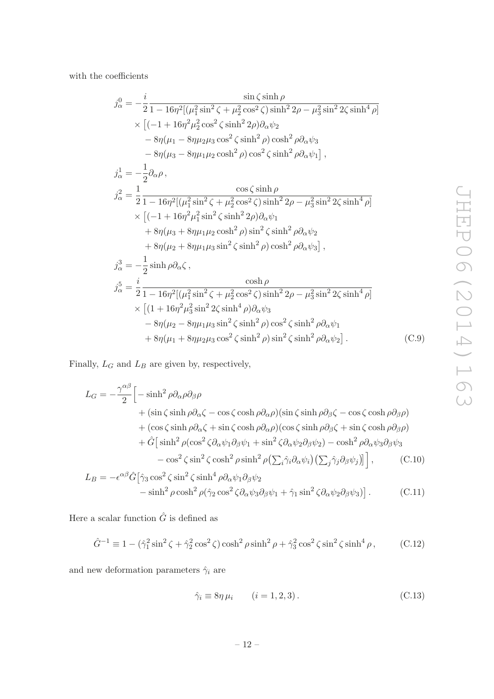with the coefficients

$$
j_{\alpha}^{0} = -\frac{i}{2} \frac{\sin \zeta \sinh \rho}{1 - 16\eta^{2} [(\mu_{1}^{2} \sin^{2} \zeta + \mu_{2}^{2} \cos^{2} \zeta) \sinh^{2} 2\rho - \mu_{3}^{2} \sin^{2} 2\zeta \sinh^{4} \rho]} \times [(-1 + 16\eta^{2} \mu_{2}^{2} \cos^{2} \zeta \sinh^{2} 2\rho)\partial_{\alpha}\psi_{2} - 8\eta(\mu_{1} - 8\eta\mu_{2}\mu_{3} \cos^{2} \zeta \sinh^{2} \rho) \cosh^{2} \rho \partial_{\alpha}\psi_{3} - 8\eta(\mu_{3} - 8\eta\mu_{1}\mu_{2} \cosh^{2} \rho) \cos^{2} \zeta \sinh^{2} \rho \partial_{\alpha}\psi_{1}],
$$
  
\n
$$
j_{\alpha}^{1} = -\frac{1}{2}\partial_{\alpha}\rho,
$$
  
\n
$$
j_{\alpha}^{2} = \frac{1}{2} \frac{\cos \zeta \sinh \rho}{1 - 16\eta^{2} [(\mu_{1}^{2} \sin^{2} \zeta + \mu_{2}^{2} \cos^{2} \zeta) \sinh^{2} 2\rho - \mu_{3}^{2} \sin^{2} 2\zeta \sinh^{4} \rho]} \times [(-1 + 16\eta^{2} \mu_{1}^{2} \sin^{2} \zeta \sinh^{2} 2\rho)\partial_{\alpha}\psi_{1} + 8\eta(\mu_{3} + 8\eta\mu_{1}\mu_{2} \cosh^{2} \rho) \sin^{2} \zeta \sinh^{2} \rho \partial_{\alpha}\psi_{2} + 8\eta(\mu_{2} + 8\eta\mu_{1}\mu_{3} \sin^{2} \zeta \sinh^{2} \rho) \cosh^{2} \rho \partial_{\alpha}\psi_{3}],
$$
  
\n
$$
j_{\alpha}^{3} = -\frac{1}{2} \sinh \rho \partial_{\alpha}\zeta,
$$
  
\n
$$
j_{\alpha}^{5} = \frac{i}{2} \frac{\cosh \rho}{1 - 16\eta^{2} [(\mu_{1}^{2} \sin^{2} \zeta + \mu_{2}^{2} \cos^{2} \zeta) \sinh^{2} 2\rho - \mu_{3}^{2} \sin^{
$$

Finally,  $L_G$  and  $L_B$  are given by, respectively,

$$
L_G = -\frac{\gamma^{\alpha\beta}}{2} \Big[ -\sinh^2 \rho \partial_\alpha \rho \partial_\beta \rho
$$
  
+  $(\sin \zeta \sinh \rho \partial_\alpha \zeta - \cos \zeta \cosh \rho \partial_\alpha \rho)(\sin \zeta \sinh \rho \partial_\beta \zeta - \cos \zeta \cosh \rho \partial_\beta \rho)$   
+  $(\cos \zeta \sinh \rho \partial_\alpha \zeta + \sin \zeta \cosh \rho \partial_\alpha \rho)(\cos \zeta \sinh \rho \partial_\beta \zeta + \sin \zeta \cosh \rho \partial_\beta \rho)$   
+  $\hat{G} \Big[ \sinh^2 \rho (\cos^2 \zeta \partial_\alpha \psi_1 \partial_\beta \psi_1 + \sin^2 \zeta \partial_\alpha \psi_2 \partial_\beta \psi_2) - \cosh^2 \rho \partial_\alpha \psi_3 \partial_\beta \psi_3$   
-  $\cos^2 \zeta \sin^2 \zeta \cosh^2 \rho \sinh^2 \rho (\sum_i \hat{\gamma}_i \partial_\alpha \psi_i) (\sum_j \hat{\gamma}_j \partial_\beta \psi_j) \Big] , \qquad (C.10)$   

$$
L_B = -\epsilon^{\alpha\beta} \hat{G} \Big[ \hat{\gamma}_3 \cos^2 \zeta \sin^2 \zeta \sin^4 \rho \partial_\alpha \psi_1 \partial_\beta \psi_2
$$
  
-  $\sinh^2 \rho \cosh^2 \rho (\hat{\gamma}_2 \cos^2 \zeta \partial_\alpha \psi_3 \partial_\beta \psi_1 + \hat{\gamma}_1 \sin^2 \zeta \partial_\alpha \psi_2 \partial_\beta \psi_3) \Big]. \qquad (C.11)$ 

Here a scalar function  $\hat{G}$  is defined as

$$
\hat{G}^{-1} \equiv 1 - (\hat{\gamma}_1^2 \sin^2 \zeta + \hat{\gamma}_2^2 \cos^2 \zeta) \cosh^2 \rho \sinh^2 \rho + \hat{\gamma}_3^2 \cos^2 \zeta \sin^2 \zeta \sinh^4 \rho, \qquad (C.12)
$$

and new deformation parameters  $\hat{\gamma}_i$  are

<span id="page-12-1"></span><span id="page-12-0"></span>
$$
\hat{\gamma}_i \equiv 8\eta \,\mu_i \qquad (i = 1, 2, 3). \tag{C.13}
$$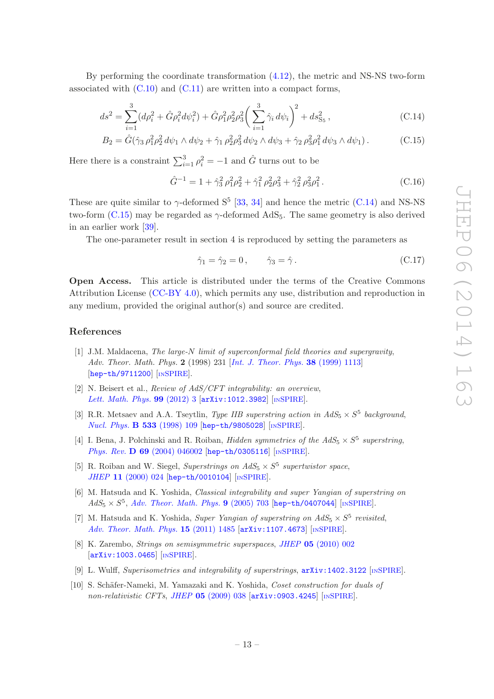By performing the coordinate transformation [\(4.12\)](#page-7-5), the metric and NS-NS two-form associated with  $(C.10)$  and  $(C.11)$  are written into a compact forms,

$$
ds^{2} = \sum_{i=1}^{3} (d\rho_{i}^{2} + \hat{G}\rho_{i}^{2}d\psi_{i}^{2}) + \hat{G}\rho_{1}^{2}\rho_{2}^{2}\rho_{3}^{2} \left(\sum_{i=1}^{3} \hat{\gamma}_{i} d\psi_{i}\right)^{2} + ds_{\text{S}_{5}}^{2}, \qquad (C.14)
$$

$$
B_2 = \hat{G}(\hat{\gamma}_3 \,\rho_1^2 \rho_2^2 \,d\psi_1 \wedge d\psi_2 + \hat{\gamma}_1 \,\rho_2^2 \rho_3^2 \,d\psi_2 \wedge d\psi_3 + \hat{\gamma}_2 \,\rho_3^2 \rho_1^2 \,d\psi_3 \wedge d\psi_1). \tag{C.15}
$$

Here there is a constraint  $\sum_{i=1}^{3} \rho_i^2 = -1$  and  $\hat{G}$  turns out to be

<span id="page-13-11"></span><span id="page-13-10"></span>
$$
\hat{G}^{-1} = 1 + \hat{\gamma}_3^2 \rho_1^2 \rho_2^2 + \hat{\gamma}_1^2 \rho_2^2 \rho_3^2 + \hat{\gamma}_2^2 \rho_3^2 \rho_1^2. \tag{C.16}
$$

These are quite similar to  $\gamma$ -deformed  $S^5$  [\[33,](#page-15-0) [34\]](#page-15-1) and hence the metric [\(C.14\)](#page-13-10) and NS-NS two-form  $(C.15)$  may be regarded as  $\gamma$ -deformed AdS<sub>5</sub>. The same geometry is also derived in an earlier work [\[39](#page-15-6)].

The one-parameter result in section 4 is reproduced by setting the parameters as

$$
\hat{\gamma}_1 = \hat{\gamma}_2 = 0, \qquad \hat{\gamma}_3 = \hat{\gamma}.
$$
\n(C.17)

Open Access. This article is distributed under the terms of the Creative Commons Attribution License [\(CC-BY 4.0\)](http://creativecommons.org/licenses/by/4.0/), which permits any use, distribution and reproduction in any medium, provided the original author(s) and source are credited.

#### References

- <span id="page-13-0"></span>[1] J.M. Maldacena, The large-N limit of superconformal field theories and supergravity, Adv. Theor. Math. Phys. 2 (1998) 231 [[Int. J. Theor. Phys.](http://dx.doi.org/10.1023/A:1026654312961) 38 (1999) 1113] [[hep-th/9711200](http://arxiv.org/abs/hep-th/9711200)] [IN[SPIRE](http://inspirehep.net/search?p=find+EPRINT+hep-th/9711200)].
- <span id="page-13-1"></span>[2] N. Beisert et al., Review of AdS/CFT integrability: an overview, [Lett. Math. Phys.](http://dx.doi.org/10.1007/s11005-011-0529-2) 99 (2012) 3 [[arXiv:1012.3982](http://arxiv.org/abs/1012.3982)] [IN[SPIRE](http://inspirehep.net/search?p=find+EPRINT+arXiv:1012.3982)].
- <span id="page-13-2"></span>[3] R.R. Metsaev and A.A. Tseytlin, Type IIB superstring action in  $AdS_5 \times S^5$  background, [Nucl. Phys.](http://dx.doi.org/10.1016/S0550-3213(98)00570-7) **B 533** (1998) 109 [[hep-th/9805028](http://arxiv.org/abs/hep-th/9805028)] [IN[SPIRE](http://inspirehep.net/search?p=find+EPRINT+hep-th/9805028)].
- <span id="page-13-3"></span>[4] I. Bena, J. Polchinski and R. Roiban, *Hidden symmetries of the AdS*<sub>5</sub>  $\times$  S<sup>5</sup> superstring, Phys. Rev. D 69 [\(2004\) 046002](http://dx.doi.org/10.1103/PhysRevD.69.046002) [[hep-th/0305116](http://arxiv.org/abs/hep-th/0305116)] [IN[SPIRE](http://inspirehep.net/search?p=find+EPRINT+hep-th/0305116)].
- <span id="page-13-4"></span>[5] R. Roiban and W. Siegel, Superstrings on  $AdS_5 \times S^5$  supertwistor space, JHEP 11 [\(2000\) 024](http://dx.doi.org/10.1088/1126-6708/2000/11/024) [[hep-th/0010104](http://arxiv.org/abs/hep-th/0010104)] [IN[SPIRE](http://inspirehep.net/search?p=find+EPRINT+hep-th/0010104)].
- <span id="page-13-5"></span>[6] M. Hatsuda and K. Yoshida, Classical integrability and super Yangian of superstring on  $AdS_5 \times S^5$ , [Adv. Theor. Math. Phys.](http://dx.doi.org/10.4310/ATMP.2005.v9.n5.a2) 9 (2005) 703 [[hep-th/0407044](http://arxiv.org/abs/hep-th/0407044)] [IN[SPIRE](http://inspirehep.net/search?p=find+EPRINT+hep-th/0407044)].
- <span id="page-13-6"></span>[7] M. Hatsuda and K. Yoshida, Super Yangian of superstring on  $AdS_5 \times S^5$  revisited, [Adv. Theor. Math. Phys.](http://dx.doi.org/10.4310/ATMP.2011.v15.n5.a6) 15 (2011) 1485 [[arXiv:1107.4673](http://arxiv.org/abs/1107.4673)] [IN[SPIRE](http://inspirehep.net/search?p=find+EPRINT+arXiv:1107.4673)].
- <span id="page-13-7"></span>[8] K. Zarembo, Strings on semisymmetric superspaces, JHEP 05 [\(2010\) 002](http://dx.doi.org/10.1007/JHEP05(2010)002) [[arXiv:1003.0465](http://arxiv.org/abs/1003.0465)] [IN[SPIRE](http://inspirehep.net/search?p=find+EPRINT+arXiv:1003.0465)].
- <span id="page-13-8"></span>[9] L. Wulff, Superisometries and integrability of superstrings, [arXiv:1402.3122](http://arxiv.org/abs/1402.3122) [IN[SPIRE](http://inspirehep.net/search?p=find+EPRINT+arXiv:1402.3122)].
- <span id="page-13-9"></span>[10] S. Schäfer-Nameki, M. Yamazaki and K. Yoshida, *Coset construction for duals of* non-relativistic CFTs, JHEP 05 [\(2009\) 038](http://dx.doi.org/10.1088/1126-6708/2009/05/038) [[arXiv:0903.4245](http://arxiv.org/abs/0903.4245)] [IN[SPIRE](http://inspirehep.net/search?p=find+EPRINT+arXiv:0903.4245)].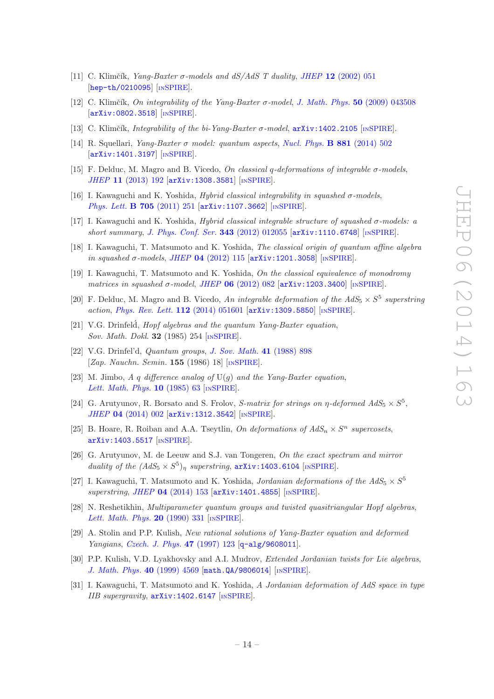- <span id="page-14-0"></span>[11] C. Klimčík, Yang-Baxter  $\sigma$ -models and dS/AdS T duality, JHEP 12 [\(2002\) 051](http://dx.doi.org/10.1088/1126-6708/2002/12/051) [[hep-th/0210095](http://arxiv.org/abs/hep-th/0210095)] [IN[SPIRE](http://inspirehep.net/search?p=find+EPRINT+hep-th/0210095)].
- [12] C. Klimčík, On integrability of the Yang-Baxter  $\sigma$ -model, [J. Math. Phys.](http://dx.doi.org/10.1063/1.3116242) 50 (2009) 043508 [[arXiv:0802.3518](http://arxiv.org/abs/0802.3518)] [IN[SPIRE](http://inspirehep.net/search?p=find+EPRINT+arXiv:0802.3518)].
- [13] C. Klimčík, *Integrability of the bi-Yang-Baxter σ-model*,  $arXiv:1402.2105$  [IN[SPIRE](http://inspirehep.net/search?p=find+EPRINT+arXiv:1402.2105)].
- [14] R. Squellari, Yang-Baxter σ model: quantum aspects, [Nucl. Phys.](http://dx.doi.org/10.1016/j.nuclphysb.2014.02.009) B 881 (2014) 502 [[arXiv:1401.3197](http://arxiv.org/abs/1401.3197)] [IN[SPIRE](http://inspirehep.net/search?p=find+EPRINT+arXiv:1401.3197)].
- <span id="page-14-1"></span>[15] F. Delduc, M. Magro and B. Vicedo, On classical q-deformations of integrable σ-models, JHEP 11 [\(2013\) 192](http://dx.doi.org/10.1007/JHEP11(2013)192) [[arXiv:1308.3581](http://arxiv.org/abs/1308.3581)] [IN[SPIRE](http://inspirehep.net/search?p=find+EPRINT+arXiv:1308.3581)].
- <span id="page-14-2"></span>[16] I. Kawaguchi and K. Yoshida, Hybrid classical integrability in squashed  $\sigma$ -models, [Phys. Lett.](http://dx.doi.org/10.1016/j.physletb.2011.09.117) **B 705** (2011) 251 [[arXiv:1107.3662](http://arxiv.org/abs/1107.3662)] [IN[SPIRE](http://inspirehep.net/search?p=find+EPRINT+arXiv:1107.3662)].
- <span id="page-14-3"></span>[17] I. Kawaguchi and K. Yoshida, *Hybrid classical integrable structure of squashed*  $\sigma$ *-models: a* short summary, [J. Phys. Conf. Ser.](http://dx.doi.org/10.1088/1742-6596/343/1/012055) 343 (2012) 012055 [[arXiv:1110.6748](http://arxiv.org/abs/1110.6748)] [IN[SPIRE](http://inspirehep.net/search?p=find+EPRINT+arXiv:1110.6748)].
- <span id="page-14-4"></span>[18] I. Kawaguchi, T. Matsumoto and K. Yoshida, The classical origin of quantum affine algebra in squashed  $\sigma$ -models, JHEP 04 [\(2012\) 115](http://dx.doi.org/10.1007/JHEP04(2012)115)  $\sigma$ Xiv:1201.3058] [IN[SPIRE](http://inspirehep.net/search?p=find+EPRINT+arXiv:1201.3058)].
- <span id="page-14-5"></span>[19] I. Kawaguchi, T. Matsumoto and K. Yoshida, On the classical equivalence of monodromy matrices in squashed  $\sigma$ -model, JHEP 06 [\(2012\) 082](http://dx.doi.org/10.1007/JHEP06(2012)082) [[arXiv:1203.3400](http://arxiv.org/abs/1203.3400)] [IN[SPIRE](http://inspirehep.net/search?p=find+EPRINT+arXiv:1203.3400)].
- <span id="page-14-6"></span>[20] F. Delduc, M. Magro and B. Vicedo, An integrable deformation of the  $AdS_5 \times S^5$  superstring action, [Phys. Rev. Lett.](http://dx.doi.org/10.1103/PhysRevLett.112.051601) 112 (2014) 051601 [[arXiv:1309.5850](http://arxiv.org/abs/1309.5850)] [IN[SPIRE](http://inspirehep.net/search?p=find+EPRINT+arXiv:1309.5850)].
- <span id="page-14-7"></span>[21] V.G. Drinfeld, *Hopf algebras and the quantum Yang-Baxter equation*, Sov. Math. Dokl. 32 (1985) 254 [IN[SPIRE](http://inspirehep.net/search?p=find+J+Sov.Math.Dokl.,32,254)].
- <span id="page-14-13"></span>[22] V.G. Drinfel'd, Quantum groups, [J. Sov. Math.](http://dx.doi.org/10.1007/BF01247086) 41 (1988) 898 [Zap. Nauchn. Semin. **155** (1986) 18] [IN[SPIRE](http://inspirehep.net/search?p=find+J+J.Sov.Math.,41,898)].
- <span id="page-14-8"></span>[23] M. Jimbo, A q difference analog of  $U(q)$  and the Yang-Baxter equation, [Lett. Math. Phys.](http://dx.doi.org/10.1007/BF00704588) **10** (1985) 63 [IN[SPIRE](http://inspirehep.net/search?p=find+J+Lett.Math.Phys.,10,63)].
- <span id="page-14-9"></span>[24] G. Arutyunov, R. Borsato and S. Frolov, S-matrix for strings on  $\eta$ -deformed  $AdS_5 \times S^5$ , JHEP 04 [\(2014\) 002](http://dx.doi.org/10.1007/JHEP04(2014)002) [[arXiv:1312.3542](http://arxiv.org/abs/1312.3542)] [IN[SPIRE](http://inspirehep.net/search?p=find+EPRINT+arXiv:1312.3542)].
- <span id="page-14-10"></span>[25] B. Hoare, R. Roiban and A.A. Tseytlin, On deformations of  $AdS_n \times S^n$  supercosets, [arXiv:1403.5517](http://arxiv.org/abs/1403.5517) [IN[SPIRE](http://inspirehep.net/search?p=find+EPRINT+arXiv:1403.5517)].
- <span id="page-14-11"></span>[26] G. Arutyunov, M. de Leeuw and S.J. van Tongeren, On the exact spectrum and mirror duality of the  $(AdS_5 \times S^5)_{\eta}$  superstring,  $arXiv:1403.6104$  [IN[SPIRE](http://inspirehep.net/search?p=find+EPRINT+arXiv:1403.6104)].
- <span id="page-14-12"></span>[27] I. Kawaguchi, T. Matsumoto and K. Yoshida, Jordanian deformations of the  $AdS_5 \times S^5$ superstring, JHEP 04 [\(2014\) 153](http://dx.doi.org/10.1007/JHEP04(2014)153) [[arXiv:1401.4855](http://arxiv.org/abs/1401.4855)] [IN[SPIRE](http://inspirehep.net/search?p=find+EPRINT+arXiv:1401.4855)].
- <span id="page-14-14"></span>[28] N. Reshetikhin, Multiparameter quantum groups and twisted quasitriangular Hopf algebras, [Lett. Math. Phys.](http://dx.doi.org/10.1007/BF00626530) **20** (1990) 331 [IN[SPIRE](http://inspirehep.net/search?p=find+J+Lett.Math.Phys.,20,331)].
- <span id="page-14-15"></span>[29] A. Stolin and P.P. Kulish, New rational solutions of Yang-Baxter equation and deformed Yangians, [Czech. J. Phys.](http://dx.doi.org/10.1023/A:1021460515598) 47 (1997) 123 [[q-alg/9608011](http://arxiv.org/abs/q-alg/9608011)].
- <span id="page-14-16"></span>[30] P.P. Kulish, V.D. Lyakhovsky and A.I. Mudrov, *Extended Jordanian twists for Lie algebras*, [J. Math. Phys.](http://dx.doi.org/10.1063/1.532987) 40 (1999) 4569 [[math.QA/9806014](http://arxiv.org/abs/math.QA/9806014)] [IN[SPIRE](http://inspirehep.net/search?p=find+EPRINT+math/9806014)].
- <span id="page-14-17"></span>[31] I. Kawaguchi, T. Matsumoto and K. Yoshida, A Jordanian deformation of AdS space in type IIB supergravity,  $arXiv:1402.6147$  [IN[SPIRE](http://inspirehep.net/search?p=find+EPRINT+arXiv:1402.6147)].